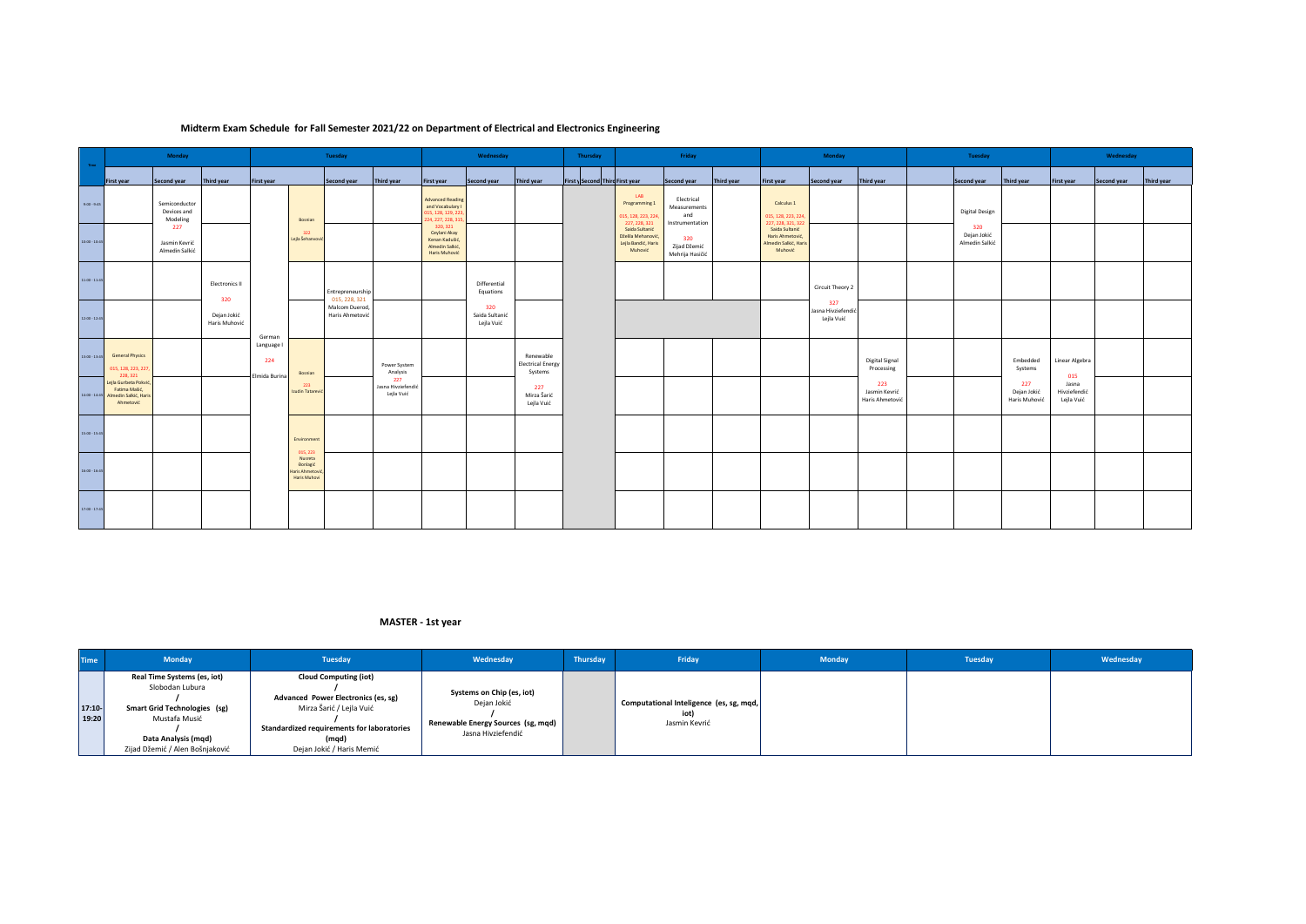## **Midterm Exam Schedule for Fall Semester 2021/22 on Department of Electrical and Electronics Engineering**

| Time:           | Monday                                                                       |                                          |                              | Tuesday                            |                                                                    |                                   | Wednesday                               |                                                                                      | Thursday                            | Friday                                           |                                 | Monday                                                                 |                                                      | Tuesday    |                                                                        | Wednesday                               |                                         |  |                                      |                                     |                                     |             |            |
|-----------------|------------------------------------------------------------------------------|------------------------------------------|------------------------------|------------------------------------|--------------------------------------------------------------------|-----------------------------------|-----------------------------------------|--------------------------------------------------------------------------------------|-------------------------------------|--------------------------------------------------|---------------------------------|------------------------------------------------------------------------|------------------------------------------------------|------------|------------------------------------------------------------------------|-----------------------------------------|-----------------------------------------|--|--------------------------------------|-------------------------------------|-------------------------------------|-------------|------------|
|                 | First year                                                                   | Second year                              | Third year                   | <b>First year</b>                  |                                                                    | Second year                       | Third year                              | <b>First year</b>                                                                    | Second year                         | Third year                                       | First y Second Third First year |                                                                        | Second year                                          | Third year | <b>First year</b>                                                      | Second year                             | Third year                              |  | Second year                          | Third year                          | <b>First year</b>                   | Second year | Third year |
| $9.00 - 9:45$   |                                                                              | Semiconductor<br>Devices and<br>Modeling |                              |                                    | Bosnian                                                            |                                   |                                         | <b>Advanced Reading</b><br>and Vocabulary I<br>15, 128, 129, 223<br>24, 227, 228, 31 |                                     |                                                  |                                 | LAB<br>Programming 1<br>015, 128, 223, 224,<br>227, 228, 321           | Electrical<br>Measurements<br>and<br>Instrumentation |            | Calculus 1<br>015, 128, 223, 224,<br>227, 228, 321, 322                |                                         |                                         |  | <b>Digital Design</b>                |                                     |                                     |             |            |
| 10:00 - 10:45   |                                                                              | 227<br>Jasmin Kevrić<br>Almedin Salkić   |                              |                                    | 322<br>Lejla Šehanvović                                            |                                   |                                         | 320, 321<br>Ceylani Akay<br>Kenan Kadušić,<br>Almedin Salkić,<br>Haris Muhović       |                                     |                                                  |                                 | Saida Sultanić<br>Dželila Mehanović,<br>Lejla Bandić, Haris<br>Muhović | 320<br>Zijad Džemić<br>Mehrija Hasičić               |            | Saida Sultanić<br>Haris Ahmetović,<br>Almedin Salkić, Haris<br>Muhović |                                         |                                         |  | 320<br>Dejan Jokić<br>Almedin Salkić |                                     |                                     |             |            |
| 11:00 - 11:45   |                                                                              |                                          | <b>Electronics II</b><br>320 |                                    |                                                                    | Entrepreneurship<br>015, 228, 321 |                                         |                                                                                      | Differential<br>Equations           |                                                  |                                 |                                                                        |                                                      |            |                                                                        | Circuit Theory 2                        |                                         |  |                                      |                                     |                                     |             |            |
| 12:00 - 12:45   |                                                                              |                                          | Dejan Jokić<br>Haris Muhović | German                             |                                                                    | Malcom Duerod,<br>Haris Ahmetović |                                         |                                                                                      | 320<br>Saida Sultanić<br>Lejla Vuić |                                                  |                                 |                                                                        |                                                      |            |                                                                        | 327<br>Jasna Hivziefendio<br>Lejla Vuić |                                         |  |                                      |                                     |                                     |             |            |
| 13:00 - 13:45   | <b>General Physics</b><br>015, 128, 223, 227<br>228, 321                     |                                          |                              | Language I<br>224<br>Elmida Burina | Bosnian                                                            |                                   | Power System<br>Analysis                |                                                                                      |                                     | Renewable<br><b>Electrical Energy</b><br>Systems |                                 |                                                                        |                                                      |            |                                                                        |                                         | <b>Digital Signal</b><br>Processing     |  |                                      | Embedded<br>Systems                 | Linear Algebra<br>015               |             |            |
| $14:00 - 14:45$ | Lejla Gurbeta Pokvić,<br>Fatima Mašić,<br>Almedin Salkić, Haris<br>Ahmetović |                                          |                              |                                    | 223<br>Izudin Tatarević                                            |                                   | 227<br>Jasna Hivziefendić<br>Lejla Vuić |                                                                                      |                                     | 227<br>Mirza Šarić<br>Lejla Vuić                 |                                 |                                                                        |                                                      |            |                                                                        |                                         | 223<br>Jasmin Kevrić<br>Haris Ahmetović |  |                                      | 227<br>Dejan Jokić<br>Haris Muhović | Jasna<br>Hivziefendić<br>Lejla Vuić |             |            |
| 15:00 - 15:45   |                                                                              |                                          |                              |                                    | Environment                                                        |                                   |                                         |                                                                                      |                                     |                                                  |                                 |                                                                        |                                                      |            |                                                                        |                                         |                                         |  |                                      |                                     |                                     |             |            |
| 16:00 - 16:45   |                                                                              |                                          |                              |                                    | 015, 223<br>Nusreta<br>Đonlagić<br>Haris Ahmetović<br>Haris Muhovi |                                   |                                         |                                                                                      |                                     |                                                  |                                 |                                                                        |                                                      |            |                                                                        |                                         |                                         |  |                                      |                                     |                                     |             |            |
| 17:00 - 17:45   |                                                                              |                                          |                              |                                    |                                                                    |                                   |                                         |                                                                                      |                                     |                                                  |                                 |                                                                        |                                                      |            |                                                                        |                                         |                                         |  |                                      |                                     |                                     |             |            |

## **MASTER - 1st year**

| <b>Time</b>    | <b>Monday</b>                                                                                                                                                    | Tuesday                                                                                                                                                                             | Wednesday                                                                                            | Thursday | Friday                                                   | Monday | Tuesday | Wednesday |
|----------------|------------------------------------------------------------------------------------------------------------------------------------------------------------------|-------------------------------------------------------------------------------------------------------------------------------------------------------------------------------------|------------------------------------------------------------------------------------------------------|----------|----------------------------------------------------------|--------|---------|-----------|
| 17:10<br>19:20 | Real Time Systems (es, iot)<br>Slobodan Lubura<br><b>Smart Grid Technologies (sg)</b><br>Mustafa Musić<br>Data Analysis (mqd)<br>Zijad Džemić / Alen Bošnjaković | <b>Cloud Computing (iot)</b><br>Advanced Power Electronics (es, sg)<br>Mirza Šarić / Lejla Vuić<br>Standardized requirements for laboratories<br>(mgd)<br>Dejan Jokić / Haris Memić | Systems on Chip (es, iot)<br>Dejan Jokić<br>Renewable Energy Sources (sg, mqd)<br>Jasna Hivziefendić |          | Computational Inteligence (es, sg, mqd,<br>Jasmin Kevrić |        |         |           |